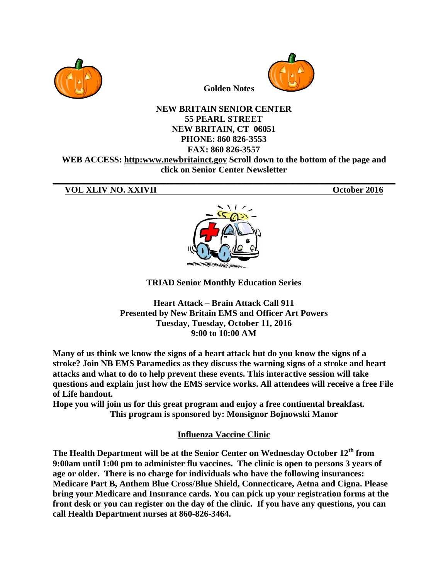



**Golden Notes** 

## **NEW BRITAIN SENIOR CENTER 55 PEARL STREET NEW BRITAIN, CT 06051** PHONE: 860 826-3553 FAX: 860 826-3557 WEB ACCESS: http:www.newbritainct.gov Scroll down to the bottom of the page and

click on Senior Center Newsletter

## VOL XLIV NO. XXIVII

October 2016



**TRIAD Senior Monthly Education Series** 

**Heart Attack – Brain Attack Call 911 Presented by New Britain EMS and Officer Art Powers** Tuesday, Tuesday, October 11, 2016  $9:00 \text{ to } 10:00 \text{ AM}$ 

Many of us think we know the signs of a heart attack but do you know the signs of a stroke? Join NB EMS Paramedics as they discuss the warning signs of a stroke and heart attacks and what to do to help prevent these events. This interactive session will take questions and explain just how the EMS service works. All attendees will receive a free File of Life handout.

Hope you will join us for this great program and enjoy a free continental breakfast. This program is sponsored by: Monsignor Bojnowski Manor

**Influenza Vaccine Clinic** 

The Health Department will be at the Senior Center on Wednesday October 12<sup>th</sup> from 9:00am until 1:00 pm to administer flu vaccines. The clinic is open to persons 3 years of age or older. There is no charge for individuals who have the following insurances: Medicare Part B, Anthem Blue Cross/Blue Shield, Connecticare, Aetna and Cigna. Please bring your Medicare and Insurance cards. You can pick up your registration forms at the front desk or you can register on the day of the clinic. If you have any questions, you can call Health Department nurses at 860-826-3464.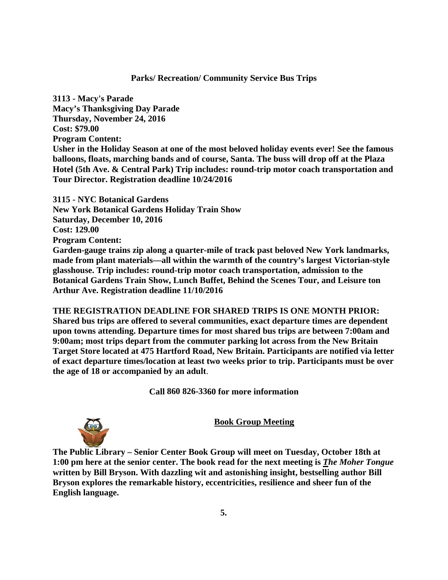## Parks/ Recreation/ Community Service Bus Trips

**3113 - M Macy's Parad de Macy's Thanksgiving Day Parade Thursda ay, Novembe er 24, 2016 Cost: \$7 9.00 Program Content:** Usher in the Holiday Season at one of the most beloved holiday events ever! See the famous **balloons, floats, marching bands and of course, Santa. The buss will drop off at the Plaza Hotel (5th Ave. & Central Park) Trip includes: round-trip motor coach transportation and** Tour Director. Registration deadline  $10/24/2016$ 

**3115 - NYC Botanical Gardens** 3115 - NYC Botanical Gardens<br>New York Botanical Gardens Holiday Train Show **Saturday, December 10, 2016 Cost: 12 9.00 Program Content:** Garden-gauge trains zip along a quarter-mile of track past beloved New York landmarks,

**made from plant materials—all within the warmth of the country's largest Victorian-style** glasshouse. Trip includes: round-trip motor coach transportation, admission to the Botanical Gardens Train Show, Lunch Buffet, Behind the Scenes Tour, and Leisure ton<br>Arthur Ave. Registration deadline 11/10/2016<br>THE REGISTRATION DEADLINE FOR SHARED TRIPS IS ONE MONTH PRIOR: Arthur Ave. Registration deadline 11/10/2016

THE REGISTRATION DEADLINE FOR SHARED TRIPS IS ONE MONTH PRIOR **Shared bus trips are offered to several communities, exact departure times are dependent upon towns attending. Departure times for most shared bus trips are between 7:00am and 9:00am; most trips depart from m the comm muter parkin ng lot across s from the N New Britain** 9:00am; most trips depart from the commuter parking lot across from the New Britain<br>Target Store located at 475 Hartford Road, New Britain. Participants are notified via letter **of exact departure times/location at least two weeks prior to trip. Participants must be over the age o of 18 or acco ompanied b by an adult**.

Call 860 826-3360 for more information

**Book Group Meeting** 

The Public Library – Senior Center Book Group will meet on Tuesday, October 18th at **1:00 pm here at the senior center. The book read for the next meeting is** *The Moher Tongue* written by Bill Bryson. With dazzling wit and astonishing insight, bestselling author Bill Bryson explores the remarkable history, eccentricities, resilience and sheer fun of the **English l language.** 

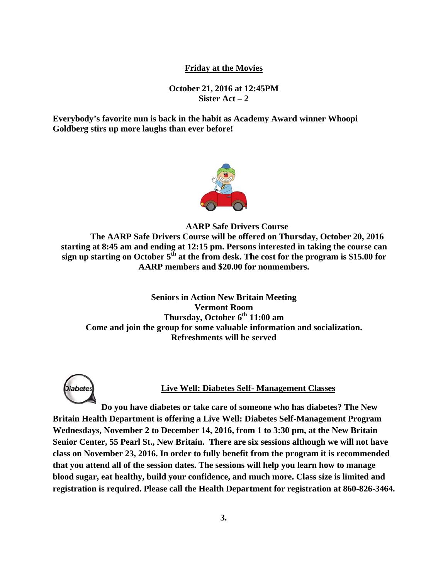## **Friday at the Movies**

**October 21 1, 2016 at 12 2:45PM Sister Act – 2** 

**Everybody's favorite nun is back in the habit as Academy Award winner Whoopi** Goldberg stirs up more laughs than ever before!



**AARP** Safe Drivers Course

starting at 8:45 am and ending at 12:15 pm. Persons interested in taking the course can sign up starting on October 5<sup>th</sup> at the from desk. The cost for the program is \$15.00 for The AARP Safe Drivers Course will be offered on Thursday, October 20, 2016 AARP members and \$20.00 for nonmembers.

**Seniors in Action New Britain Meeting<br>
Vermont Room<br>
Thursday, October 6<sup>th</sup> 11:00 am<br>
Come and join the group for some valuable information and socialization. Seniors in Action New Britain Meeting T Thursday, O October 6th 1 11:00 am Verm mont Room m Refreshments will be served** 



#### **Li ive Well: Di iabetes Self f- Managem ment Classes**

**Britain Health Department is offering a Live Well: Diabetes Self-Management Program** Wednesdays, November 2 to December 14, 2016, from 1 to 3:30 pm, at the New Britain Wednesdays, November 2 to December 14, 2016, from 1 to 3:30 pm, at the New Britain<br>Senior Center, 55 Pearl St., New Britain. There are six sessions although we will not have class on November 23, 2016. In order to fully benefit from the program it is recommended that you attend all of the session dates. The sessions will help you learn how to manage blood sugar, eat healthy, build your confidence, and much more. Class size is limited and registration is required. Please call the Health Department for registration at 860-826-3464. **Do you u have diabe etes or take care of som meone who h has diabetes ss? The New**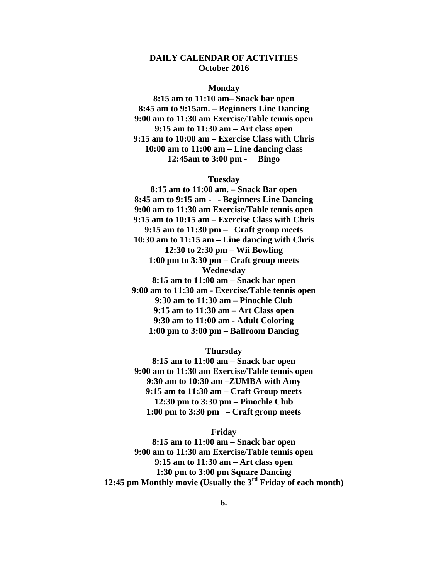## **DAILY CALENDAR OF ACTIVITIES October 2016**

#### **Monday**

**8:15 am to 11:10 am– Snack bar open 8:45 am to 9:15am. – Beginners Line Dancing 9:00 am to 11:30 am Exercise/Table tennis open 9:15 am to 11:30 am – Art class open 9:15 am to 10:00 am – Exercise Class with Chris 10:00 am to 11:00 am – Line dancing class 12:45am to 3:00 pm - Bingo** 

#### **Tuesday**

**8:15 am to 11:00 am. – Snack Bar open 8:45 am to 9:15 am - - Beginners Line Dancing 9:00 am to 11:30 am Exercise/Table tennis open 9:15 am to 10:15 am – Exercise Class with Chris 9:15 am to 11:30 pm – Craft group meets 10:30 am to 11:15 am – Line dancing with Chris 12:30 to 2:30 pm – Wii Bowling 1:00 pm to 3:30 pm – Craft group meets Wednesday 8:15 am to 11:00 am – Snack bar open 9:00 am to 11:30 am - Exercise/Table tennis open 9:30 am to 11:30 am – Pinochle Club 9:15 am to 11:30 am – Art Class open 9:30 am to 11:00 am - Adult Coloring 1:00 pm to 3:00 pm – Ballroom Dancing** 

### **Thursday**

**8:15 am to 11:00 am – Snack bar open 9:00 am to 11:30 am Exercise/Table tennis open 9:30 am to 10:30 am –ZUMBA with Amy 9:15 am to 11:30 am – Craft Group meets 12:30 pm to 3:30 pm – Pinochle Club 1:00 pm to 3:30 pm – Craft group meets** 

#### **Friday**

**8:15 am to 11:00 am – Snack bar open 9:00 am to 11:30 am Exercise/Table tennis open 9:15 am to 11:30 am – Art class open 1:30 pm to 3:00 pm Square Dancing 12:45 pm Monthly movie (Usually the 3rd Friday of each month)**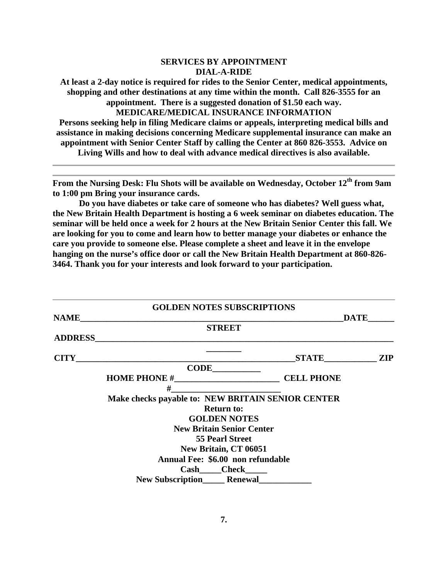#### **SERVICES BY APPOINTMENT DIAL-A-RIDE**

**At least a 2-day notice is required for rides to the Senior Center, medical appointments, shopping and other destinations at any time within the month. Call 826-3555 for an appointment. There is a suggested donation of \$1.50 each way. MEDICARE/MEDICAL INSURANCE INFORMATION Persons seeking help in filing Medicare claims or appeals, interpreting medical bills and assistance in making decisions concerning Medicare supplemental insurance can make an appointment with Senior Center Staff by calling the Center at 860 826-3553. Advice on** 

**Living Wills and how to deal with advance medical directives is also available.** 

From the Nursing Desk: Flu Shots will be available on Wednesday, October 12<sup>th</sup> from 9am **to 1:00 pm Bring your insurance cards.** 

**Do you have diabetes or take care of someone who has diabetes? Well guess what, the New Britain Health Department is hosting a 6 week seminar on diabetes education. The seminar will be held once a week for 2 hours at the New Britain Senior Center this fall. We are looking for you to come and learn how to better manage your diabetes or enhance the care you provide to someone else. Please complete a sheet and leave it in the envelope hanging on the nurse's office door or call the New Britain Health Department at 860-826- 3464. Thank you for your interests and look forward to your participation.**

|                | <b>GOLDEN NOTES SUBSCRIPTIONS</b>                 |                   |            |
|----------------|---------------------------------------------------|-------------------|------------|
| <b>NAME</b>    |                                                   | <b>DATE</b>       |            |
|                | <b>STREET</b>                                     |                   |            |
| <b>ADDRESS</b> |                                                   |                   |            |
| <b>CITY</b>    |                                                   |                   | <b>ZIP</b> |
|                | <b>CODE</b>                                       |                   |            |
|                |                                                   | <b>CELL PHONE</b> |            |
|                | #                                                 |                   |            |
|                | Make checks payable to: NEW BRITAIN SENIOR CENTER |                   |            |
|                | <b>Return to:</b>                                 |                   |            |
|                | <b>GOLDEN NOTES</b>                               |                   |            |
|                | <b>New Britain Senior Center</b>                  |                   |            |
|                | <b>55 Pearl Street</b>                            |                   |            |
|                | New Britain, CT 06051                             |                   |            |
|                | Annual Fee: \$6.00 non refundable                 |                   |            |
|                | Cash Check                                        |                   |            |
|                | New Subscription_______ Renewal_                  |                   |            |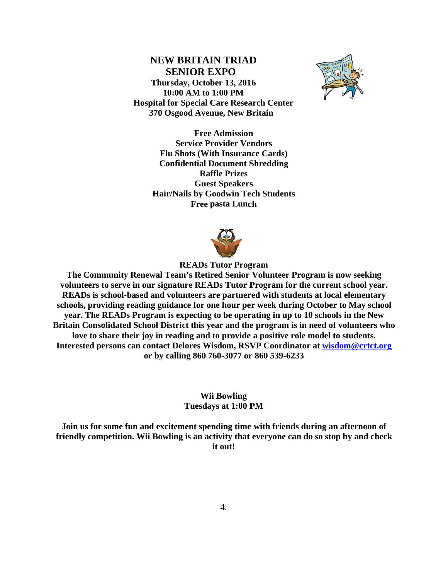**NEW BRITAIN TRIAD SENIOR EXPO** Thursday, October 13, 2016 10:00 AM to 1:00 PM **Hospital for Special Care Research Center** 370 Osgood Avenue, New Britain



**Free Admission Service Provider Vendors Flu Shots (With Insurance Cards) Confidential Document Shredding Raffle Prizes Guest Speakers Hair/Nails by Goodwin Tech Students Free pasta Lunch** 



**READs Tutor Program** 

The Community Renewal Team's Retired Senior Volunteer Program is now seeking volunteers to serve in our signature READs Tutor Program for the current school year. READs is school-based and volunteers are partnered with students at local elementary schools, providing reading guidance for one hour per week during October to May school year. The READs Program is expecting to be operating in up to 10 schools in the New Britain Consolidated School District this year and the program is in need of volunteers who love to share their joy in reading and to provide a positive role model to students. Interested persons can contact Delores Wisdom, RSVP Coordinator at wisdom@crtct.org or by calling 860 760-3077 or 860 539-6233

> **Wii Bowling** Tuesdays at 1:00 PM

Join us for some fun and excitement spending time with friends during an afternoon of friendly competition. Wii Bowling is an activity that everyone can do so stop by and check it out!